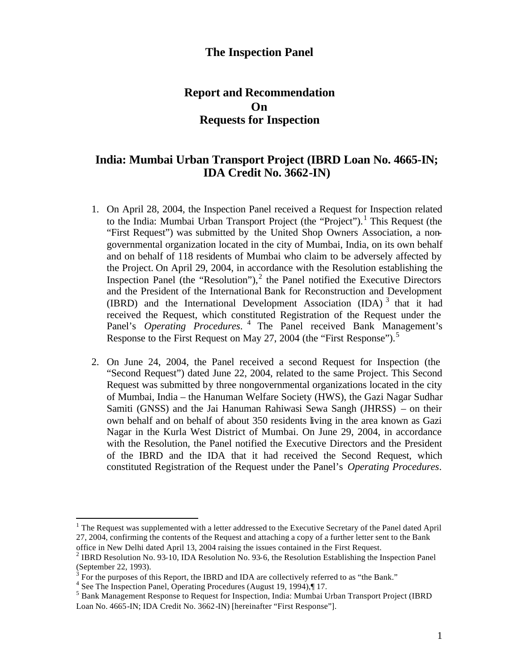## **The Inspection Panel**

# **Report and Recommendation On Requests for Inspection**

# **India: Mumbai Urban Transport Project (IBRD Loan No. 4665-IN; IDA Credit No. 3662-IN)**

- 1. On April 28, 2004, the Inspection Panel received a Request for Inspection related to the India: Mumbai Urban Transport Project (the "Project").<sup>1</sup> This Request (the "First Request") was submitted by the United Shop Owners Association, a nongovernmental organization located in the city of Mumbai, India, on its own behalf and on behalf of 118 residents of Mumbai who claim to be adversely affected by the Project. On April 29, 2004, in accordance with the Resolution establishing the Inspection Panel (the "Resolution"), $<sup>2</sup>$  the Panel notified the Executive Directors</sup> and the President of the International Bank for Reconstruction and Development (IBRD) and the International Development Association (IDA)<sup>3</sup> that it had received the Request, which constituted Registration of the Request under the Panel's *Operating Procedures*. 4 The Panel received Bank Management's Response to the First Request on May 27, 2004 (the "First Response").<sup>5</sup>
- 2. On June 24, 2004, the Panel received a second Request for Inspection (the "Second Request") dated June 22, 2004, related to the same Project. This Second Request was submitted by three nongovernmental organizations located in the city of Mumbai, India – the Hanuman Welfare Society (HWS), the Gazi Nagar Sudhar Samiti (GNSS) and the Jai Hanuman Rahiwasi Sewa Sangh (JHRSS) – on their own behalf and on behalf of about 350 residents living in the area known as Gazi Nagar in the Kurla West District of Mumbai. On June 29, 2004, in accordance with the Resolution, the Panel notified the Executive Directors and the President of the IBRD and the IDA that it had received the Second Request, which constituted Registration of the Request under the Panel's *Operating Procedures*.

<sup>&</sup>lt;sup>1</sup> The Request was supplemented with a letter addressed to the Executive Secretary of the Panel dated April 27, 2004, confirming the contents of the Request and attaching a copy of a further letter sent to the Bank office in New Delhi dated April 13, 2004 raising the issues contained in the First Request.

<sup>&</sup>lt;sup>2</sup> IBRD Resolution No. 93-10, IDA Resolution No. 93-6, the Resolution Establishing the Inspection Panel (September 22, 1993).

 $3$  For the purposes of this Report, the IBRD and IDA are collectively referred to as "the Bank."

<sup>4</sup> See The Inspection Panel, Operating Procedures (August 19, 1994),¶ 17.

<sup>&</sup>lt;sup>5</sup> Bank Management Response to Request for Inspection, India: Mumbai Urban Transport Project (IBRD Loan No. 4665-IN; IDA Credit No. 3662-IN) [hereinafter "First Response"].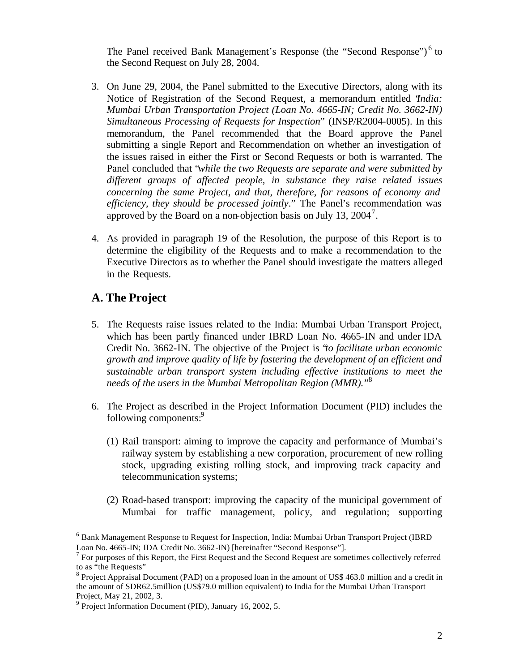The Panel received Bank Management's Response (the "Second Response")<sup>6</sup> to the Second Request on July 28, 2004.

- 3. On June 29, 2004, the Panel submitted to the Executive Directors, along with its Notice of Registration of the Second Request, a memorandum entitled "*India: Mumbai Urban Transportation Project (Loan No. 4665-IN; Credit No. 3662-IN) Simultaneous Processing of Requests for Inspection*" (INSP/R2004-0005). In this memorandum, the Panel recommended that the Board approve the Panel submitting a single Report and Recommendation on whether an investigation of the issues raised in either the First or Second Requests or both is warranted. The Panel concluded that "*while the two Requests are separate and were submitted by different groups of affected people, in substance they raise related issues concerning the same Project, and that, therefore, for reasons of economy and efficiency, they should be processed jointly*." The Panel's recommendation was approved by the Board on a non-objection basis on July 13,  $2004^7$ .
- 4. As provided in paragraph 19 of the Resolution, the purpose of this Report is to determine the eligibility of the Requests and to make a recommendation to the Executive Directors as to whether the Panel should investigate the matters alleged in the Requests.

# **A. The Project**

- 5. The Requests raise issues related to the India: Mumbai Urban Transport Project, which has been partly financed under IBRD Loan No. 4665-IN and under IDA Credit No. 3662-IN. The objective of the Project is "*to facilitate urban economic growth and improve quality of life by fostering the development of an efficient and sustainable urban transport system including effective institutions to meet the needs of the users in the Mumbai Metropolitan Region (MMR).*" 8
- 6. The Project as described in the Project Information Document (PID) includes the following components:<sup>9</sup>
	- (1) Rail transport: aiming to improve the capacity and performance of Mumbai's railway system by establishing a new corporation, procurement of new rolling stock, upgrading existing rolling stock, and improving track capacity and telecommunication systems;
	- (2) Road-based transport: improving the capacity of the municipal government of Mumbai for traffic management, policy, and regulation; supporting

<sup>&</sup>lt;sup>6</sup> Bank Management Response to Request for Inspection, India: Mumbai Urban Transport Project (IBRD Loan No. 4665-IN; IDA Credit No. 3662-IN) [hereinafter "Second Response"].

 $7$  For purposes of this Report, the First Request and the Second Request are sometimes collectively referred to as "the Requests"

<sup>&</sup>lt;sup>8</sup> Project Appraisal Document (PAD) on a proposed loan in the amount of US\$ 463.0 million and a credit in the amount of SDR62.5million (US\$79.0 million equivalent) to India for the Mumbai Urban Transport Project, May 21, 2002, 3.

<sup>&</sup>lt;sup>9</sup> Project Information Document (PID), January 16, 2002, 5.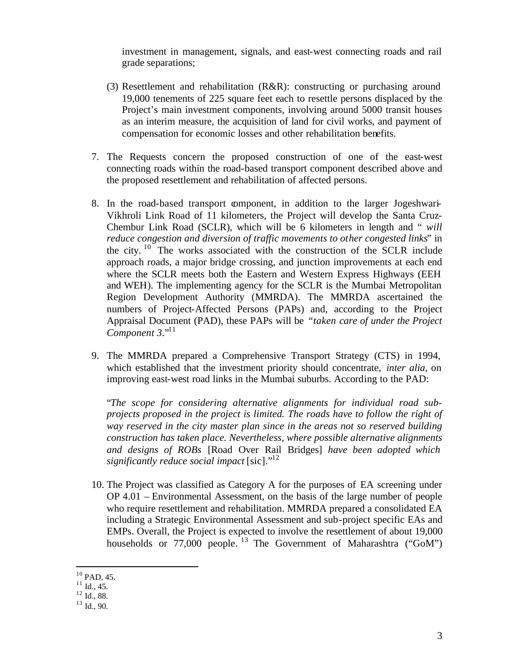investment in management, signals, and east-west connecting roads and rail grade separations;

- (3) Resettlement and rehabilitation (R&R): constructing or purchasing around 19,000 tenements of 225 square feet each to resettle persons displaced by the Project's main investment components, involving around 5000 transit houses as an interim measure, the acquisition of land for civil works, and payment of compensation for economic losses and other rehabilitation benefits.
- 7. The Requests concern the proposed construction of one of the east-west connecting roads within the road-based transport component described above and the proposed resettlement and rehabilitation of affected persons.
- 8. In the road-based transport component, in addition to the larger Jogeshwari-Vikhroli Link Road of 11 kilometers, the Project will develop the Santa Cruz-Chembur Link Road (SCLR), which will be 6 kilometers in length and " *will reduce congestion and diversion of traffic movements to other congested links*" in the city.  $10$  The works associated with the construction of the SCLR include approach roads, a major bridge crossing, and junction improvements at each end where the SCLR meets both the Eastern and Western Express Highways (EEH and WEH). The implementing agency for the SCLR is the Mumbai Metropolitan Region Development Authority (MMRDA). The MMRDA ascertained the numbers of Project-Affected Persons (PAPs) and, according to the Project Appraisal Document (PAD), these PAPs will be *"taken care of under the Project Component 3*."<sup>11</sup>
- 9. The MMRDA prepared a Comprehensive Transport Strategy (CTS) in 1994, which established that the investment priority should concentrate, *inter alia*, on improving east-west road links in the Mumbai suburbs. According to the PAD:

"*The scope for considering alternative alignments for individual road subprojects proposed in the project is limited. The roads have to follow the right of way reserved in the city master plan since in the areas not so reserved building construction has taken place. Nevertheless, where possible alternative alignments and designs of ROBs* [Road Over Rail Bridges] *have been adopted which significantly reduce social impact* [sic]."<sup>12</sup>

10. The Project was classified as Category A for the purposes of EA screening under OP 4.01 – Environmental Assessment, on the basis of the large number of people who require resettlement and rehabilitation. MMRDA prepared a consolidated EA including a Strategic Environmental Assessment and sub-project specific EAs and EMPs. Overall, the Project is expected to involve the resettlement of about 19,000 households or  $77,000$  people.<sup>13</sup> The Government of Maharashtra ("GoM")

 $10$  PAD, 45.

 $^{11}$  Id., 45.

 $12 \text{ Id.}, 88.$ 

<sup>13</sup> Id., 90.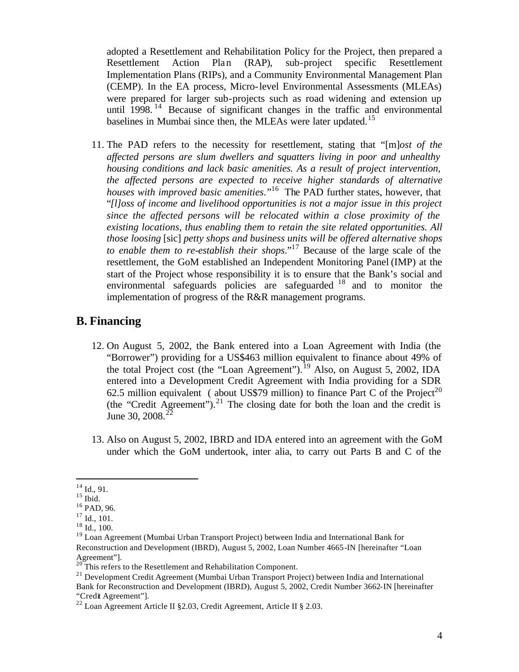adopted a Resettlement and Rehabilitation Policy for the Project, then prepared a Resettlement Action Plan (RAP), sub-project specific Resettlement Implementation Plans (RIPs), and a Community Environmental Management Plan (CEMP). In the EA process, Micro-level Environmental Assessments (MLEAs) were prepared for larger sub-projects such as road widening and extension up until  $1998$ .<sup>14</sup> Because of significant changes in the traffic and environmental baselines in Mumbai since then, the MLEAs were later updated.<sup>15</sup>

11. The PAD refers to the necessity for resettlement, stating that "[m]*ost of the affected persons are slum dwellers and squatters living in poor and unhealthy housing conditions and lack basic amenities. As a result of project intervention, the affected persons are expected to receive higher standards of alternative houses with improved basic amenities*."<sup>16</sup> The PAD further states, however, that "*[l]oss of income and livelihood opportunities is not a major issue in this project since the affected persons will be relocated within a close proximity of the existing locations, thus enabling them to retain the site related opportunities. All those loosing* [sic] *petty shops and business units will be offered alternative shops to enable them to re-establish their shops*."<sup>17</sup> Because of the large scale of the resettlement, the GoM established an Independent Monitoring Panel (IMP) at the start of the Project whose responsibility it is to ensure that the Bank's social and environmental safeguards policies are safeguarded  $18$  and to monitor the implementation of progress of the R&R management programs.

## **B. Financing**

- 12. On August 5, 2002, the Bank entered into a Loan Agreement with India (the "Borrower") providing for a US\$463 million equivalent to finance about 49% of the total Project cost (the "Loan Agreement").<sup>19</sup> Also, on August 5, 2002, IDA entered into a Development Credit Agreement with India providing for a SDR 62.5 million equivalent (about US\$79 million) to finance Part C of the Project<sup>20</sup> (the "Credit Agreement").<sup>21</sup> The closing date for both the loan and the credit is June 30,  $2008.<sup>22</sup>$
- 13. Also on August 5, 2002, IBRD and IDA entered into an agreement with the GoM under which the GoM undertook, inter alia, to carry out Parts B and C of the

 $14$  Id., 91.

 $15$  Ibid.

<sup>16</sup> PAD, 96.

 $17$  Id., 101.

<sup>18</sup> Id., 100.

<sup>&</sup>lt;sup>19</sup> Loan Agreement (Mumbai Urban Transport Project) between India and International Bank for Reconstruction and Development (IBRD), August 5, 2002, Loan Number 4665-IN [hereinafter "Loan Agreement"].

<sup>&</sup>lt;sup>20</sup> This refers to the Resettlement and Rehabilitation Component.

<sup>&</sup>lt;sup>21</sup> Development Credit Agreement (Mumbai Urban Transport Project) between India and International Bank for Reconstruction and Development (IBRD), August 5, 2002, Credit Number 3662-IN [hereinafter "Credit Agreement"].

<sup>&</sup>lt;sup>22</sup> Loan Agreement Article II § 2.03, Credit Agreement, Article II § 2.03.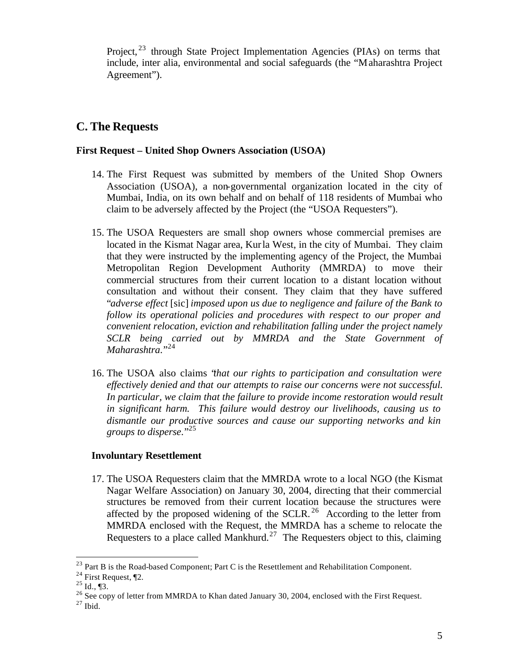Project, <sup>23</sup> through State Project Implementation Agencies (PIAs) on terms that include, inter alia, environmental and social safeguards (the "Maharashtra Project Agreement").

# **C. The Requests**

## **First Request – United Shop Owners Association (USOA)**

- 14. The First Request was submitted by members of the United Shop Owners Association (USOA), a non-governmental organization located in the city of Mumbai, India, on its own behalf and on behalf of 118 residents of Mumbai who claim to be adversely affected by the Project (the "USOA Requesters").
- 15. The USOA Requesters are small shop owners whose commercial premises are located in the Kismat Nagar area, Kurla West, in the city of Mumbai. They claim that they were instructed by the implementing agency of the Project, the Mumbai Metropolitan Region Development Authority (MMRDA) to move their commercial structures from their current location to a distant location without consultation and without their consent. They claim that they have suffered "*adverse effect* [sic] *imposed upon us due to negligence and failure of the Bank to follow its operational policies and procedures with respect to our proper and convenient relocation, eviction and rehabilitation falling under the project namely SCLR being carried out by MMRDA and the State Government of Maharashtra.*"24
- 16. The USOA also claims "*that our rights to participation and consultation were effectively denied and that our attempts to raise our concerns were not successful.*  In particular, we claim that the failure to provide income restoration would result *in significant harm. This failure would destroy our livelihoods, causing us to dismantle our productive sources and cause our supporting networks and kin groups to disperse*."<sup>25</sup>

## **Involuntary Resettlement**

17. The USOA Requesters claim that the MMRDA wrote to a local NGO (the Kismat Nagar Welfare Association) on January 30, 2004, directing that their commercial structures be removed from their current location because the structures were affected by the proposed widening of the SCLR.<sup>26</sup> According to the letter from MMRDA enclosed with the Request, the MMRDA has a scheme to relocate the Requesters to a place called Mankhurd.<sup>27</sup> The Requesters object to this, claiming

 $^{23}$  Part B is the Road-based Component; Part C is the Resettlement and Rehabilitation Component.

 $24$  First Request,  $\P$ 2.

 $^{25}$  Id., ¶3.

<sup>&</sup>lt;sup>26</sup> See copy of letter from MMRDA to Khan dated January 30, 2004, enclosed with the First Request.

 $27$  Ibid.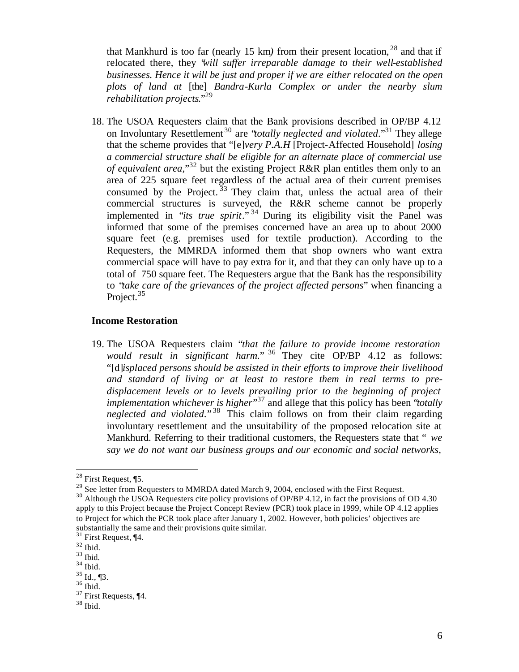that Mankhurd is too far (nearly 15 km*)* from their present location, <sup>28</sup> and that if relocated there, they "*will suffer irreparable damage to their well-established businesses. Hence it will be just and proper if we are either relocated on the open plots of land at* [the] *Bandra-Kurla Complex or under the nearby slum rehabilitation projects*."<sup>29</sup>

18. The USOA Requesters claim that the Bank provisions described in OP/BP 4.12 on Involuntary Resettlement <sup>30</sup> are "*totally neglected and violated*."<sup>31</sup> They allege that the scheme provides that "[e]*very P.A.H* [Project-Affected Household] *losing a commercial structure shall be eligible for an alternate place of commercial use of equivalent area,*" <sup>32</sup> but the existing Project R&R plan entitles them only to an area of 225 square feet regardless of the actual area of their current premises consumed by the Project.  $33$  They claim that, unless the actual area of their commercial structures is surveyed, the R&R scheme cannot be properly implemented in "*its true spirit*." <sup>34</sup> During its eligibility visit the Panel was informed that some of the premises concerned have an area up to about 2000 square feet (e.g. premises used for textile production). According to the Requesters, the MMRDA informed them that shop owners who want extra commercial space will have to pay extra for it, and that they can only have up to a total of 750 square feet. The Requesters argue that the Bank has the responsibility to "*take care of the grievances of the project affected persons*" when financing a Project.<sup>35</sup>

#### **Income Restoration**

19. The USOA Requesters claim "*that the failure to provide income restoration*  would result in significant harm." <sup>36</sup> They cite OP/BP 4.12 as follows: "[d]*isplaced persons should be assisted in their efforts to improve their livelihood and standard of living or at least to restore them in real terms to predisplacement levels or to levels prevailing prior to the beginning of project implementation whichever is higher*" <sup>37</sup> and allege that this policy has been "*totally neglected and violated*." <sup>38</sup> This claim follows on from their claim regarding involuntary resettlement and the unsuitability of the proposed relocation site at Mankhurd. Referring to their traditional customers, the Requesters state that " *we say we do not want our business groups and our economic and social networks,* 

<sup>28</sup> First Request, ¶5.

<sup>&</sup>lt;sup>29</sup> See letter from Requesters to MMRDA dated March 9, 2004, enclosed with the First Request.

<sup>&</sup>lt;sup>30</sup> Although the USOA Requesters cite policy provisions of OP/BP 4.12, in fact the provisions of OD 4.30 apply to this Project because the Project Concept Review (PCR) took place in 1999, while OP 4.12 applies to Project for which the PCR took place after January 1, 2002. However, both policies' objectives are substantially the same and their provisions quite similar.

<sup>31</sup> First Request, ¶4.

 $32$  Ibid.

 $33$  Ibid.

 $34$  Ibid.

 $35$  Id., ¶3. <sup>36</sup> Ibid.

<sup>37</sup> First Requests, ¶4.

 $38$  Ibid.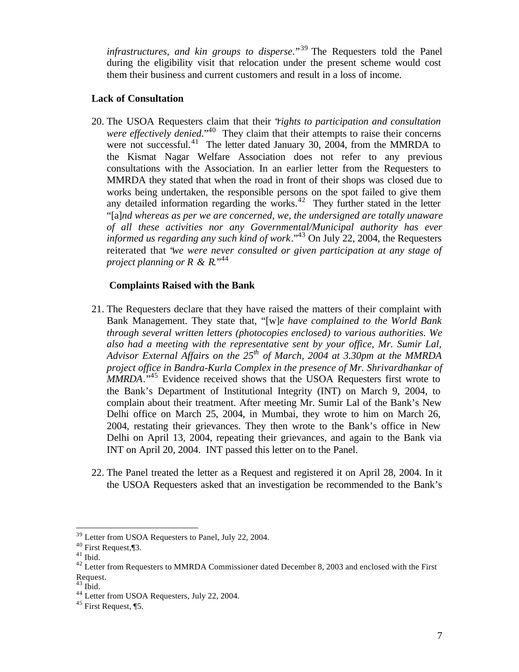*infrastructures, and kin groups to disperse*."<sup>39</sup> The Requesters told the Panel during the eligibility visit that relocation under the present scheme would cost them their business and current customers and result in a loss of income.

## **Lack of Consultation**

20. The USOA Requesters claim that their "*rights to participation and consultation were effectively denied*."<sup>40</sup> They claim that their attempts to raise their concerns were not successful.<sup>41</sup> The letter dated January 30, 2004, from the MMRDA to the Kismat Nagar Welfare Association does not refer to any previous consultations with the Association. In an earlier letter from the Requesters to MMRDA they stated that when the road in front of their shops was closed due to works being undertaken, the responsible persons on the spot failed to give them any detailed information regarding the works. $42$  They further stated in the letter "[a]*nd whereas as per we are concerned, we, the undersigned are totally unaware of all these activities nor any Governmental/Municipal authority has ever informed us regarding any such kind of work*."<sup>43</sup> On July 22, 2004, the Requesters reiterated that "*we were never consulted or given participation at any stage of project planning or R & R.*<sup>\*44</sup>

## **Complaints Raised with the Bank**

- 21. The Requesters declare that they have raised the matters of their complaint with Bank Management. They state that, "[w]*e have complained to the World Bank through several written letters (photocopies enclosed) to various authorities. We also had a meeting with the representative sent by your office, Mr. Sumir Lal, Advisor External Affairs on the 25th of March, 2004 at 3.30pm at the MMRDA project office in Bandra-Kurla Complex in the presence of Mr. Shrivardhankar of MMRDA*."<sup>45</sup> Evidence received shows that the USOA Requesters first wrote to the Bank's Department of Institutional Integrity (INT) on March 9, 2004, to complain about their treatment. After meeting Mr. Sumir Lal of the Bank's New Delhi office on March 25, 2004, in Mumbai, they wrote to him on March 26, 2004, restating their grievances. They then wrote to the Bank's office in New Delhi on April 13, 2004, repeating their grievances, and again to the Bank via INT on April 20, 2004. INT passed this letter on to the Panel.
- 22. The Panel treated the letter as a Request and registered it on April 28, 2004. In it the USOA Requesters asked that an investigation be recommended to the Bank's

<sup>&</sup>lt;sup>39</sup> Letter from USOA Requesters to Panel, July 22, 2004.

<sup>40</sup> First Request,¶3.

 $^{41}$  Ibid.

 $42$  Letter from Requesters to MMRDA Commissioner dated December 8, 2003 and enclosed with the First Request.

 $43$  Ibid.

<sup>44</sup> Letter from USOA Requesters, July 22, 2004.

<sup>45</sup> First Request, ¶5.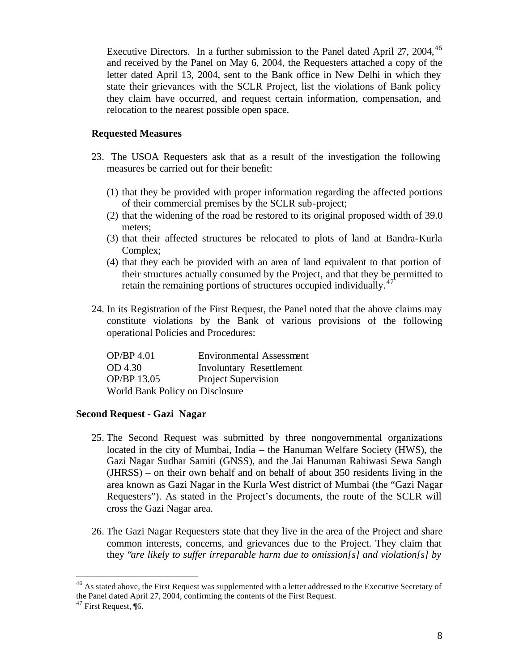Executive Directors. In a further submission to the Panel dated April 27, 2004,  $46$ and received by the Panel on May 6, 2004, the Requesters attached a copy of the letter dated April 13, 2004, sent to the Bank office in New Delhi in which they state their grievances with the SCLR Project, list the violations of Bank policy they claim have occurred, and request certain information, compensation, and relocation to the nearest possible open space.

### **Requested Measures**

- 23. The USOA Requesters ask that as a result of the investigation the following measures be carried out for their benefit:
	- (1) that they be provided with proper information regarding the affected portions of their commercial premises by the SCLR sub-project;
	- (2) that the widening of the road be restored to its original proposed width of 39.0 meters;
	- (3) that their affected structures be relocated to plots of land at Bandra-Kurla Complex;
	- (4) that they each be provided with an area of land equivalent to that portion of their structures actually consumed by the Project, and that they be permitted to retain the remaining portions of structures occupied individually.<sup>47</sup>
- 24. In its Registration of the First Request, the Panel noted that the above claims may constitute violations by the Bank of various provisions of the following operational Policies and Procedures:

| OP/BP 4.01                      | <b>Environmental Assessment</b> |
|---------------------------------|---------------------------------|
| OD 4.30                         | <b>Involuntary Resettlement</b> |
| OP/BP 13.05                     | Project Supervision             |
| World Bank Policy on Disclosure |                                 |

### **Second Request - Gazi Nagar**

- 25. The Second Request was submitted by three nongovernmental organizations located in the city of Mumbai, India – the Hanuman Welfare Society (HWS), the Gazi Nagar Sudhar Samiti (GNSS), and the Jai Hanuman Rahiwasi Sewa Sangh (JHRSS) – on their own behalf and on behalf of about 350 residents living in the area known as Gazi Nagar in the Kurla West district of Mumbai (the "Gazi Nagar Requesters"). As stated in the Project's documents, the route of the SCLR will cross the Gazi Nagar area.
- 26. The Gazi Nagar Requesters state that they live in the area of the Project and share common interests, concerns, and grievances due to the Project. They claim that they "*are likely to suffer irreparable harm due to omission[s] and violation[s] by*

 $^{46}$  As stated above, the First Request was supplemented with a letter addressed to the Executive Secretary of the Panel dated April 27, 2004, confirming the contents of the First Request.

<sup>47</sup> First Request, ¶6.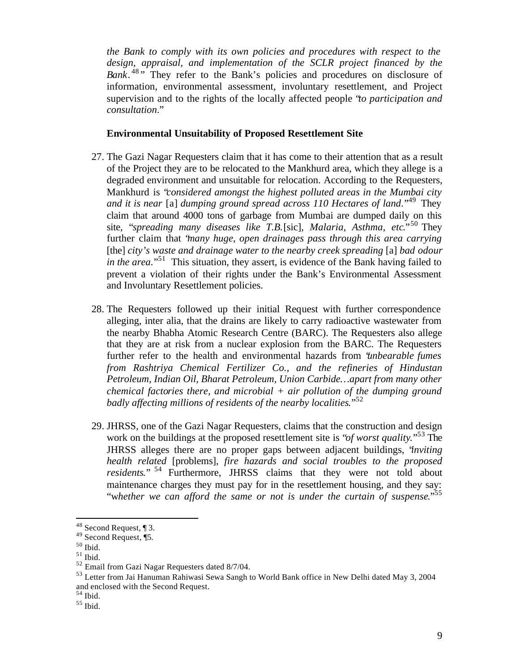*the Bank to comply with its own policies and procedures with respect to the design, appraisal, and implementation of the SCLR project financed by the* Bank.<sup>48</sup><sup>,</sup> They refer to the Bank's policies and procedures on disclosure of information, environmental assessment, involuntary resettlement, and Project supervision and to the rights of the locally affected people "*to participation and consultation*."

#### **Environmental Unsuitability of Proposed Resettlement Site**

- 27. The Gazi Nagar Requesters claim that it has come to their attention that as a result of the Project they are to be relocated to the Mankhurd area, which they allege is a degraded environment and unsuitable for relocation. According to the Requesters, Mankhurd is "*considered amongst the highest polluted areas in the Mumbai city and it is near* [a] *dumping ground spread across 110 Hectares of land*."<sup>49</sup> They claim that around 4000 tons of garbage from Mumbai are dumped daily on this site, "*spreading many diseases like T.B.*[sic]*, Malaria, Asthma, etc*."<sup>50</sup> They further claim that "*many huge, open drainages pass through this area carrying*  [the] *city's waste and drainage water to the nearby creek spreading* [a] *bad odour in the area*."<sup>51</sup> This situation, they assert, is evidence of the Bank having failed to prevent a violation of their rights under the Bank's Environmental Assessment and Involuntary Resettlement policies.
- 28. The Requesters followed up their initial Request with further correspondence alleging, inter alia, that the drains are likely to carry radioactive wastewater from the nearby Bhabha Atomic Research Centre (BARC). The Requesters also allege that they are at risk from a nuclear explosion from the BARC. The Requesters further refer to the health and environmental hazards from "*unbearable fumes from Rashtriya Chemical Fertilizer Co., and the refineries of Hindustan Petroleum, Indian Oil, Bharat Petroleum, Union Carbide…apart from many other chemical factories there, and microbial + air pollution of the dumping ground badly affecting millions of residents of the nearby localities*."<sup>52</sup>
- 29. JHRSS, one of the Gazi Nagar Requesters, claims that the construction and design work on the buildings at the proposed resettlement site is "*of worst quality*."<sup>53</sup> The JHRSS alleges there are no proper gaps between adjacent buildings, "*inviting health related* [problems], *fire hazards and social troubles to the proposed residents*." <sup>54</sup> Furthermore, JHRSS claims that they were not told about maintenance charges they must pay for in the resettlement housing, and they say: "w*hether we can afford the same or not is under the curtain of suspense*."<sup>55</sup>

 $48$  Second Request, 13.

<sup>49</sup> Second Request, ¶5.

 $50$  Ibid.

 $51$  Ibid.

<sup>52</sup> Email from Gazi Nagar Requesters dated 8/7/04.

<sup>&</sup>lt;sup>53</sup> Letter from Jai Hanuman Rahiwasi Sewa Sangh to World Bank office in New Delhi dated May 3, 2004 and enclosed with the Second Request.

 $54$  Ibid.

 $55$  Ibid.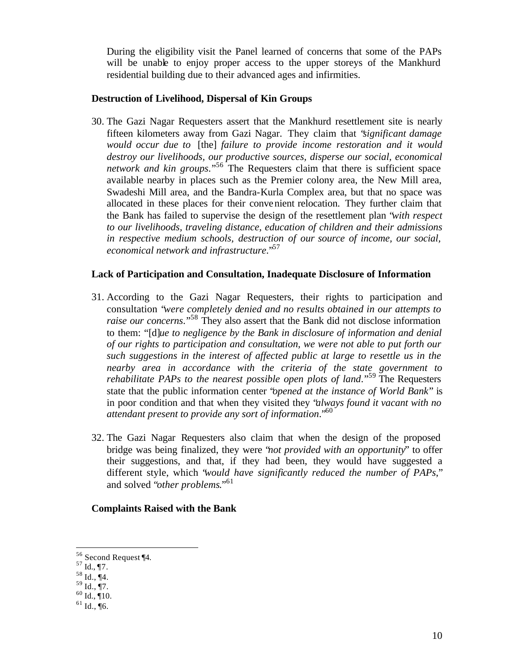During the eligibility visit the Panel learned of concerns that some of the PAPs will be unable to enjoy proper access to the upper storeys of the Mankhurd residential building due to their advanced ages and infirmities.

## **Destruction of Livelihood, Dispersal of Kin Groups**

30. The Gazi Nagar Requesters assert that the Mankhurd resettlement site is nearly fifteen kilometers away from Gazi Nagar. They claim that "*significant damage would occur due to* [the] *failure to provide income restoration and it would destroy our livelihoods, our productive sources, disperse our social, economical network and kin groups*."<sup>56</sup> The Requesters claim that there is sufficient space available nearby in places such as the Premier colony area, the New Mill area, Swadeshi Mill area, and the Bandra-Kurla Complex area, but that no space was allocated in these places for their convenient relocation. They further claim that the Bank has failed to supervise the design of the resettlement plan "*with respect to our livelihoods, traveling distance, education of children and their admissions in respective medium schools, destruction of our source of income, our social, economical network and infrastructure*."<sup>57</sup>

### **Lack of Participation and Consultation, Inadequate Disclosure of Information**

- 31. According to the Gazi Nagar Requesters, their rights to participation and consultation "*were completely denied and no results obtained in our attempts to raise our concerns*."<sup>58</sup> They also assert that the Bank did not disclose information to them: "[d]*ue to negligence by the Bank in disclosure of information and denial of our rights to participation and consultation, we were not able to put forth our such suggestions in the interest of affected public at large to resettle us in the nearby area in accordance with the criteria of the state government to rehabilitate PAPs to the nearest possible open plots of land.*"<sup>59</sup> The Requesters state that the public information center "*opened at the instance of World Bank*" is in poor condition and that when they visited they "*always found it vacant with no attendant present to provide any sort of information*."<sup>60</sup>
- 32. The Gazi Nagar Requesters also claim that when the design of the proposed bridge was being finalized, they were "*not provided with an opportunity*" to offer their suggestions, and that, if they had been, they would have suggested a different style, which "*would have significantly reduced the number of PAPs*," and solved "*other problems*."<sup>61</sup>

## **Complaints Raised with the Bank**

<sup>&</sup>lt;sup>56</sup> Second Request ¶4.

 $57 \text{ Id.}, \frac{1}{2}$ .

 $58$  Id.,  $\P$ 4.

 $^{59}$  Id., ¶7.

 $60$  Id.,  $\sqrt[4]{10}$ .

 $61$  Id., ¶6.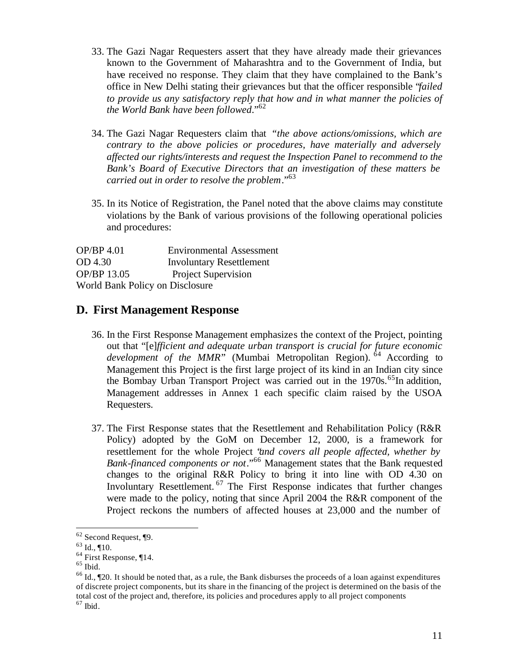- 33. The Gazi Nagar Requesters assert that they have already made their grievances known to the Government of Maharashtra and to the Government of India, but have received no response. They claim that they have complained to the Bank's office in New Delhi stating their grievances but that the officer responsible "*failed to provide us any satisfactory reply that how and in what manner the policies of the World Bank have been followed*."<sup>62</sup>
- 34. The Gazi Nagar Requesters claim that *"the above actions/omissions, which are contrary to the above policies or procedures, have materially and adversely affected our rights/interests and request the Inspection Panel to recommend to the Bank's Board of Executive Directors that an investigation of these matters be carried out in order to resolve the problem*."<sup>63</sup>
- 35. In its Notice of Registration, the Panel noted that the above claims may constitute violations by the Bank of various provisions of the following operational policies and procedures:

OP/BP 4.01 Environmental Assessment OD 4.30 Involuntary Resettlement OP/BP 13.05 Project Supervision World Bank Policy on Disclosure

## **D. First Management Response**

- 36. In the First Response Management emphasizes the context of the Project, pointing out that "[e]*fficient and adequate urban transport is crucial for future economic*  development of the MMR<sup>"</sup> (Mumbai Metropolitan Region). <sup>64</sup> According to Management this Project is the first large project of its kind in an Indian city since the Bombay Urban Transport Project was carried out in the 1970s.<sup>65</sup>In addition, Management addresses in Annex 1 each specific claim raised by the USOA Requesters.
- 37. The First Response states that the Resettlement and Rehabilitation Policy (R&R Policy) adopted by the GoM on December 12, 2000, is a framework for resettlement for the whole Project "*and covers all people affected, whether by Bank-financed components or not*."<sup>66</sup> Management states that the Bank requested changes to the original R&R Policy to bring it into line with OD 4.30 on Involuntary Resettlement. <sup>67</sup> The First Response indicates that further changes were made to the policy, noting that since April 2004 the R&R component of the Project reckons the numbers of affected houses at 23,000 and the number of

 $62$  Second Request,  $\P$ 9.

 $63$  Id.,  $\P$ 10.

 $64$  First Response, ¶14.

 $^{65}$  Ibid.

 $^{66}$  Id.,  $\text{\degree}$  [20. It should be noted that, as a rule, the Bank disburses the proceeds of a loan against expenditures of discrete project components, but its share in the financing of the project is determined on the basis of the total cost of the project and, therefore, its policies and procedures apply to all project components

 $67$  Ibid.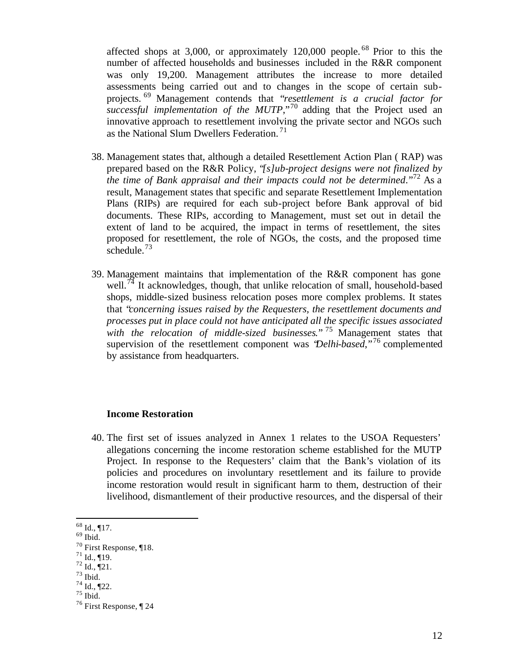affected shops at 3,000, or approximately  $120,000$  people.<sup>68</sup> Prior to this the number of affected households and businesses included in the R&R component was only 19,200. Management attributes the increase to more detailed assessments being carried out and to changes in the scope of certain subprojects. <sup>69</sup> Management contends that "*resettlement is a crucial factor for successful implementation of the MUTP*,"<sup>70</sup> adding that the Project used an innovative approach to resettlement involving the private sector and NGOs such as the National Slum Dwellers Federation.<sup>71</sup>

- 38. Management states that, although a detailed Resettlement Action Plan ( RAP) was prepared based on the R&R Policy, "*[s]ub-project designs were not finalized by the time of Bank appraisal and their impacts could not be determined*."<sup>72</sup> As a result, Management states that specific and separate Resettlement Implementation Plans (RIPs) are required for each sub-project before Bank approval of bid documents. These RIPs, according to Management, must set out in detail the extent of land to be acquired, the impact in terms of resettlement, the sites proposed for resettlement, the role of NGOs, the costs, and the proposed time schedule. $^{73}$
- 39. Management maintains that implementation of the R&R component has gone well.<sup>74</sup> It acknowledges, though, that unlike relocation of small, household-based shops, middle-sized business relocation poses more complex problems. It states that "*concerning issues raised by the Requesters, the resettlement documents and processes put in place could not have anticipated all the specific issues associated with the relocation of middle-sized businesses*." <sup>75</sup> Management states that supervision of the resettlement component was "*Delhi-based*,"<sup>76</sup> complemented by assistance from headquarters.

#### **Income Restoration**

40. The first set of issues analyzed in Annex 1 relates to the USOA Requesters' allegations concerning the income restoration scheme established for the MUTP Project. In response to the Requesters' claim that the Bank's violation of its policies and procedures on involuntary resettlement and its failure to provide income restoration would result in significant harm to them, destruction of their livelihood, dismantlement of their productive resources, and the dispersal of their

 $\overline{a}$ 

 $^{71}$  Id., ¶19.

 $68$  Id., ¶17.

 $69$  Ibid.

 $70$  First Response, ¶18.

 $72 \overline{Id}$ .,  $\overline{121}$ .

 $73$  Ibid.

 $^{74}$  Id., ¶22.

 $75$  Ibid.

 $76$  First Response,  $\P$  24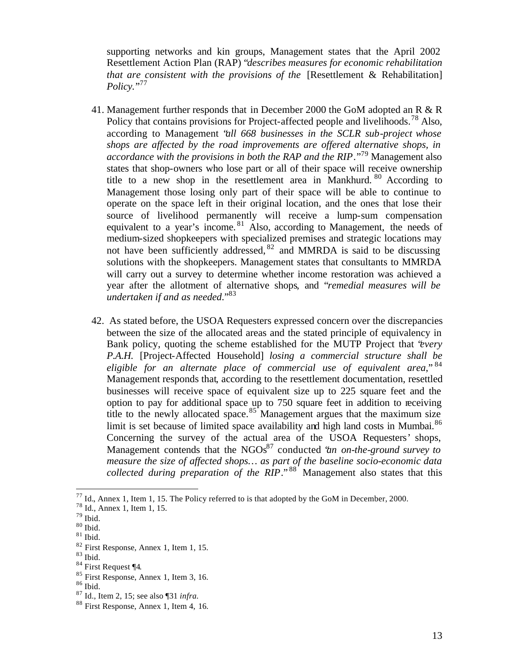supporting networks and kin groups, Management states that the April 2002 Resettlement Action Plan (RAP) "*describes measures for economic rehabilitation that are consistent with the provisions of the [Resettlement & Rehabilitation] Policy.*" 77

- 41. Management further responds that in December 2000 the GoM adopted an R & R Policy that contains provisions for Project-affected people and livelihoods.<sup>78</sup> Also, according to Management "*all 668 businesses in the SCLR sub-project whose shops are affected by the road improvements are offered alternative shops, in accordance with the provisions in both the RAP and the RIP*."<sup>79</sup> Management also states that shop-owners who lose part or all of their space will receive ownership title to a new shop in the resettlement area in Mankhurd. <sup>80</sup> According to Management those losing only part of their space will be able to continue to operate on the space left in their original location, and the ones that lose their source of livelihood permanently will receive a lump-sum compensation equivalent to a year's income.<sup>81</sup> Also, according to Management, the needs of medium-sized shopkeepers with specialized premises and strategic locations may not have been sufficiently addressed, <sup>82</sup> and MMRDA is said to be discussing solutions with the shopkeepers. Management states that consultants to MMRDA will carry out a survey to determine whether income restoration was achieved a year after the allotment of alternative shops, and "*remedial measures will be undertaken if and as needed*."<sup>83</sup>
- 42. As stated before, the USOA Requesters expressed concern over the discrepancies between the size of the allocated areas and the stated principle of equivalency in Bank policy, quoting the scheme established for the MUTP Project that "*every P.A.H.* [Project-Affected Household] *losing a commercial structure shall be eligible for an alternate place of commercial use of equivalent area*," <sup>84</sup> Management responds that, according to the resettlement documentation, resettled businesses will receive space of equivalent size up to 225 square feet and the option to pay for additional space up to 750 square feet in addition to receiving title to the newly allocated space.<sup>85</sup> Management argues that the maximum size limit is set because of limited space availability and high land costs in Mumbai. $86$ Concerning the survey of the actual area of the USOA Requesters' shops, Management contends that the NGOs<sup>87</sup> conducted *'an on-the-ground survey to measure the size of affected shops… as part of the baseline socio-economic data collected during preparation of the RIP*."<sup>88</sup> Management also states that this

 $^{77}$  Id., Annex 1, Item 1, 15. The Policy referred to is that adopted by the GoM in December, 2000.

<sup>78</sup> Id., Annex 1, Item 1, 15.

 $^{79}$  Ibid.

 $^{80}$  Ibid.

 $^{\,81}$  Ibid.

<sup>82</sup> First Response, Annex 1, Item 1, 15.

 $83$  Ibid.

<sup>84</sup> First Request ¶4*.*

<sup>85</sup> First Response, Annex 1, Item 3, 16.

<sup>86</sup> Ibid.

<sup>87</sup> Id., Item 2, 15; see also ¶31 *infra.*

<sup>88</sup> First Response, Annex 1, Item 4, 16.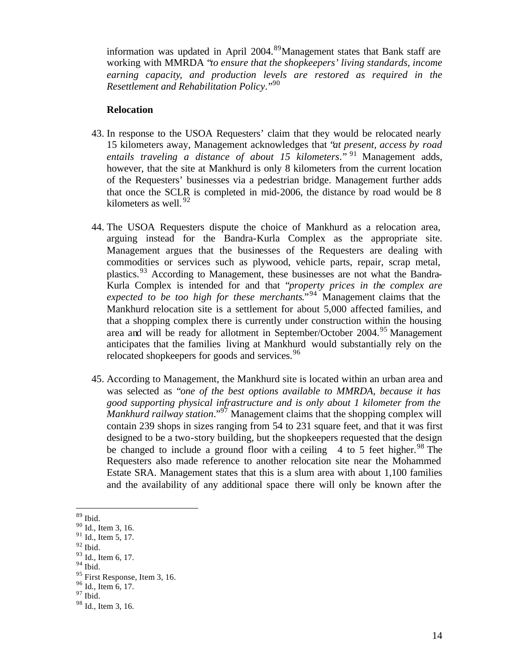information was updated in April 2004.<sup>89</sup>Management states that Bank staff are working with MMRDA "*to ensure that the shopkeepers' living standards, income earning capacity, and production levels are restored as required in the Resettlement and Rehabilitation Policy*."<sup>90</sup>

#### **Relocation**

- 43. In response to the USOA Requesters' claim that they would be relocated nearly 15 kilometers away, Management acknowledges that "*at present, access by road entails traveling a distance of about 15 kilometers*." <sup>91</sup> Management adds, however, that the site at Mankhurd is only 8 kilometers from the current location of the Requesters' businesses via a pedestrian bridge. Management further adds that once the SCLR is completed in mid-2006, the distance by road would be 8 kilometers as well.  $92$
- 44. The USOA Requesters dispute the choice of Mankhurd as a relocation area, arguing instead for the Bandra-Kurla Complex as the appropriate site. Management argues that the businesses of the Requesters are dealing with commodities or services such as plywood, vehicle parts, repair, scrap metal, plastics.<sup>93</sup> According to Management, these businesses are not what the Bandra-Kurla Complex is intended for and that "*property prices in the complex are expected to be too high for these merchants*."<sup>94</sup> Management claims that the Mankhurd relocation site is a settlement for about 5,000 affected families, and that a shopping complex there is currently under construction within the housing area and will be ready for allotment in September/October 2004.<sup>95</sup> Management anticipates that the families living at Mankhurd would substantially rely on the relocated shopkeepers for goods and services.<sup>96</sup>
- 45. According to Management, the Mankhurd site is located within an urban area and was selected as "*one of the best options available to MMRDA, because it has good supporting physical infrastructure and is only about 1 kilometer from the Mankhurd railway station*."<sup>97</sup> Management claims that the shopping complex will contain 239 shops in sizes ranging from 54 to 231 square feet, and that it was first designed to be a two-story building, but the shopkeepers requested that the design be changed to include a ground floor with a ceiling 4 to 5 feet higher.<sup>98</sup> The Requesters also made reference to another relocation site near the Mohammed Estate SRA. Management states that this is a slum area with about 1,100 families and the availability of any additional space there will only be known after the

<sup>89</sup> Ibid.

<sup>90</sup> Id., Item 3, 16.

<sup>&</sup>lt;sup>91</sup> Id., Item 5, 17.

 $92$  Ibid.

<sup>93</sup> Id., Item 6, 17.

 $94$  Ibid.

<sup>&</sup>lt;sup>95</sup> First Response, Item 3, 16.

<sup>96</sup> Id., Item 6, 17.  $97$  Ibid.

<sup>98</sup> Id., Item 3, 16.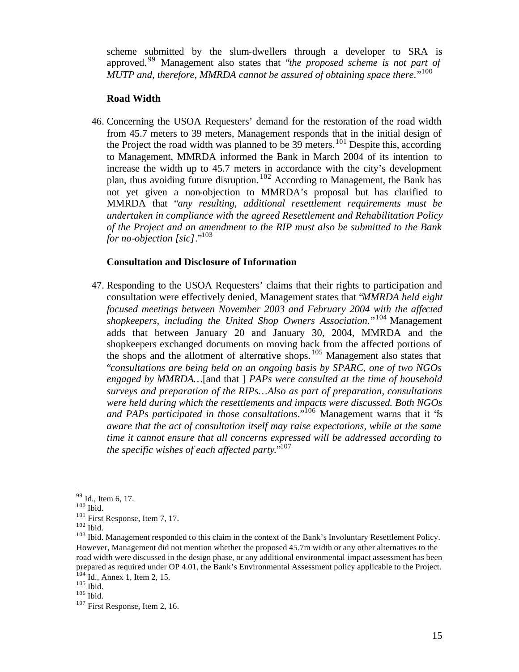scheme submitted by the slum-dwellers through a developer to SRA is approved. <sup>99</sup> Management also states that "*the proposed scheme is not part of MUTP and, therefore, MMRDA cannot be assured of obtaining space there.*"<sup>100</sup>

## **Road Width**

46. Concerning the USOA Requesters' demand for the restoration of the road width from 45.7 meters to 39 meters, Management responds that in the initial design of the Project the road width was planned to be  $39$  meters.<sup>101</sup> Despite this, according to Management, MMRDA informed the Bank in March 2004 of its intention to increase the width up to 45.7 meters in accordance with the city's development plan, thus avoiding future disruption. <sup>102</sup> According to Management, the Bank has not yet given a non-objection to MMRDA's proposal but has clarified to MMRDA that "*any resulting, additional resettlement requirements must be undertaken in compliance with the agreed Resettlement and Rehabilitation Policy of the Project and an amendment to the RIP must also be submitted to the Bank for no-objection [sic]*."<sup>103</sup>

#### **Consultation and Disclosure of Information**

47. Responding to the USOA Requesters' claims that their rights to participation and consultation were effectively denied, Management states that "*MMRDA held eight focused meetings between November 2003 and February 2004 with the affected shopkeepers, including the United Shop Owners Association*."<sup>104</sup> Management adds that between January 20 and January 30, 2004, MMRDA and the shopkeepers exchanged documents on moving back from the affected portions of the shops and the allotment of alternative shops.<sup>105</sup> Management also states that "*consultations are being held on an ongoing basis by SPARC, one of two NGOs engaged by MMRDA…*[and that ] *PAPs were consulted at the time of household surveys and preparation of the RIPs…Also as part of preparation, consultations were held during which the resettlements and impacts were discussed. Both NGOs and PAPs participated in those consultations*."<sup>106</sup> Management warns that it "*is aware that the act of consultation itself may raise expectations, while at the same time it cannot ensure that all concerns expressed will be addressed according to the specific wishes of each affected party*."<sup>107</sup>

<sup>&</sup>lt;sup>99</sup> Id., Item 6, 17.

 $100$  Ibid.

<sup>&</sup>lt;sup>101</sup> First Response, Item 7, 17.

 $102$  Ibid.

<sup>&</sup>lt;sup>103</sup> Ibid. Management responded to this claim in the context of the Bank's Involuntary Resettlement Policy. However, Management did not mention whether the proposed 45.7m width or any other alternatives to the road width were discussed in the design phase, or any additional environmental impact assessment has been prepared as required under OP 4.01, the Bank's Environmental Assessment policy applicable to the Project.  $104$  Id., Annex 1, Item 2, 15.

 $105$  Ibid.

 $106$  Ibid.

<sup>&</sup>lt;sup>107</sup> First Response, Item 2, 16.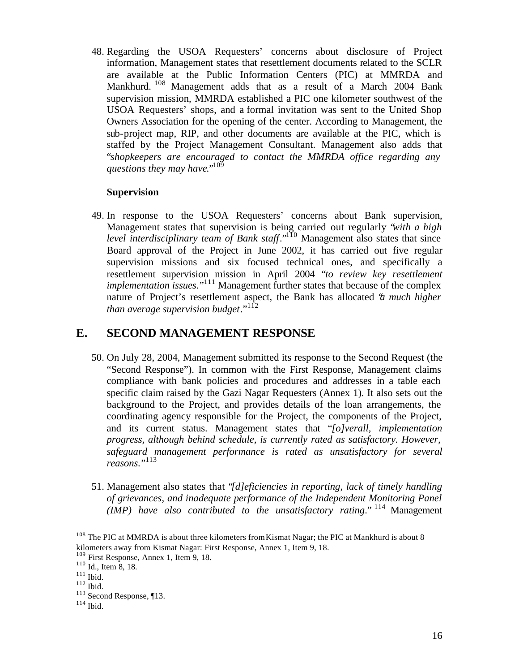48. Regarding the USOA Requesters' concerns about disclosure of Project information, Management states that resettlement documents related to the SCLR are available at the Public Information Centers (PIC) at MMRDA and Mankhurd. <sup>108</sup> Management adds that as a result of a March 2004 Bank supervision mission, MMRDA established a PIC one kilometer southwest of the USOA Requesters' shops, and a formal invitation was sent to the United Shop Owners Association for the opening of the center. According to Management, the sub-project map, RIP, and other documents are available at the PIC, which is staffed by the Project Management Consultant. Management also adds that "*shopkeepers are encouraged to contact the MMRDA office regarding any questions they may have*."<sup>109</sup>

## **Supervision**

49. In response to the USOA Requesters' concerns about Bank supervision, Management states that supervision is being carried out regularly "*with a high level interdisciplinary team of Bank staff*."<sup>110</sup> Management also states that since Board approval of the Project in June 2002, it has carried out five regular supervision missions and six focused technical ones, and specifically a resettlement supervision mission in April 2004 "*to review key resettlement implementation issues.*"<sup>111</sup> Management further states that because of the complex nature of Project's resettlement aspect, the Bank has allocated "*a much higher than average supervision budget*."<sup>112</sup>

# **E. SECOND MANAGEMENT RESPONSE**

- 50. On July 28, 2004, Management submitted its response to the Second Request (the "Second Response"). In common with the First Response, Management claims compliance with bank policies and procedures and addresses in a table each specific claim raised by the Gazi Nagar Requesters (Annex 1). It also sets out the background to the Project, and provides details of the loan arrangements, the coordinating agency responsible for the Project, the components of the Project, and its current status. Management states that "*[o]verall, implementation progress, although behind schedule, is currently rated as satisfactory. However, safeguard management performance is rated as unsatisfactory for several reasons*."<sup>113</sup>
- 51. Management also states that "*[d]eficiencies in reporting, lack of timely handling of grievances, and inadequate performance of the Independent Monitoring Panel (IMP) have also contributed to the unsatisfactory rating*." <sup>114</sup> Management

 $108$  The PIC at MMRDA is about three kilometers from Kismat Nagar; the PIC at Mankhurd is about 8 kilometers away from Kismat Nagar: First Response, Annex 1, Item 9, 18.

<sup>109</sup> First Response, Annex 1, Item 9, 18.

 $110$  Id., Item 8, 18.

 $111$  Ibid.

 $112$  Ibid.

<sup>&</sup>lt;sup>113</sup> Second Response, ¶13.

 $114$  Ibid.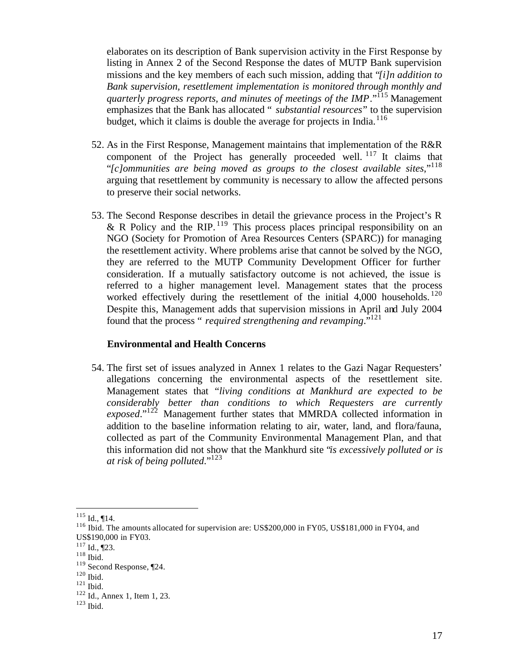elaborates on its description of Bank supervision activity in the First Response by listing in Annex 2 of the Second Response the dates of MUTP Bank supervision missions and the key members of each such mission, adding that "*[i]n addition to Bank supervision, resettlement implementation is monitored through monthly and quarterly progress reports, and minutes of meetings of the IMP*."<sup>115</sup> Management emphasizes that the Bank has allocated " *substantial resources*" to the supervision budget, which it claims is double the average for projects in India.<sup>116</sup>

- 52. As in the First Response, Management maintains that implementation of the R&R component of the Project has generally proceeded well. <sup>117</sup> It claims that "*[c]ommunities are being moved as groups to the closest available sites*,"<sup>118</sup> arguing that resettlement by community is necessary to allow the affected persons to preserve their social networks.
- 53. The Second Response describes in detail the grievance process in the Project's R & R Policy and the RIP.  $^{119}$  This process places principal responsibility on an NGO (Society for Promotion of Area Resources Centers (SPARC)) for managing the resettlement activity. Where problems arise that cannot be solved by the NGO, they are referred to the MUTP Community Development Officer for further consideration. If a mutually satisfactory outcome is not achieved, the issue is referred to a higher management level. Management states that the process worked effectively during the resettlement of the initial 4,000 households.<sup>120</sup> Despite this, Management adds that supervision missions in April and July 2004 found that the process " *required strengthening and revamping*."<sup>121</sup>

#### **Environmental and Health Concerns**

54. The first set of issues analyzed in Annex 1 relates to the Gazi Nagar Requesters' allegations concerning the environmental aspects of the resettlement site. Management states that "*living conditions at Mankhurd are expected to be considerably better than conditions to which Requesters are currently exposed*."<sup>122</sup> Management further states that MMRDA collected information in addition to the baseline information relating to air, water, land, and flora/fauna, collected as part of the Community Environmental Management Plan, and that this information did not show that the Mankhurd site "*is excessively polluted or is at risk of being polluted*."<sup>123</sup>

 $115$  Id., ¶14.

<sup>116</sup> Ibid. The amounts allocated for supervision are: US\$200,000 in FY05, US\$181,000 in FY04, and US\$190,000 in FY03.

 $117$  Id., [23.

 $118$  Ibid.

<sup>119</sup> Second Response, ¶24.

<sup>120</sup> Ibid.

<sup>121</sup> Ibid.

<sup>&</sup>lt;sup>122</sup> Id., Annex 1, Item 1, 23.

 $123$  Ibid.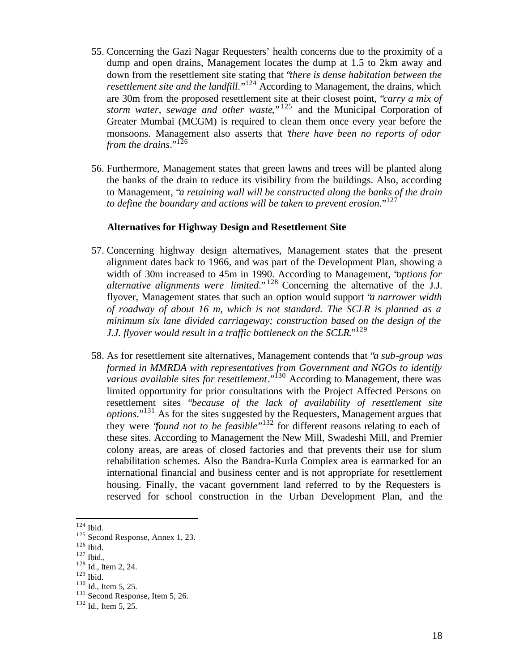- 55. Concerning the Gazi Nagar Requesters' health concerns due to the proximity of a dump and open drains, Management locates the dump at 1.5 to 2km away and down from the resettlement site stating that "*there is dense habitation between the resettlement site and the landfill*."<sup>124</sup> According to Management, the drains, which are 30m from the proposed resettlement site at their closest point, "*carry a mix of storm water, sewage and other waste*," <sup>125</sup> and the Municipal Corporation of Greater Mumbai (MCGM) is required to clean them once every year before the monsoons. Management also asserts that "*there have been no reports of odor from the drains*."<sup>126</sup>
- 56. Furthermore, Management states that green lawns and trees will be planted along the banks of the drain to reduce its visibility from the buildings. Also, according to Management, "*a retaining wall will be constructed along the banks of the drain to define the boundary and actions will be taken to prevent erosion*."<sup>127</sup>

#### **Alternatives for Highway Design and Resettlement Site**

- 57. Concerning highway design alternatives, Management states that the present alignment dates back to 1966, and was part of the Development Plan, showing a width of 30m increased to 45m in 1990. According to Management, "*options for alternative alignments were limited*." <sup>128</sup> Concerning the alternative of the J.J. flyover, Management states that such an option would support "*a narrower width of roadway of about 16 m, which is not standard. The SCLR is planned as a minimum six lane divided carriageway; construction based on the design of the J.J. flyover would result in a traffic bottleneck on the SCLR*."<sup>129</sup>
- 58. As for resettlement site alternatives, Management contends that "*a sub-group was formed in MMRDA with representatives from Government and NGOs to identify various available sites for resettlement*."<sup>130</sup> According to Management, there was limited opportunity for prior consultations with the Project Affected Persons on resettlement sites "*because of the lack of availability of resettlement site options*."<sup>131</sup> As for the sites suggested by the Requesters, Management argues that they were "*found not to be feasible*" <sup>132</sup> for different reasons relating to each of these sites. According to Management the New Mill, Swadeshi Mill, and Premier colony areas, are areas of closed factories and that prevents their use for slum rehabilitation schemes. Also the Bandra-Kurla Complex area is earmarked for an international financial and business center and is not appropriate for resettlement housing. Finally, the vacant government land referred to by the Requesters is reserved for school construction in the Urban Development Plan, and the

 $\overline{a}$ 

<sup>127</sup> Ibid.,

 $124$  Ibid.

<sup>&</sup>lt;sup>125</sup> Second Response, Annex 1, 23.

<sup>126</sup> Ibid.

<sup>128</sup> Id., Item 2, 24.

<sup>129</sup> Ibid.

<sup>&</sup>lt;sup>130</sup> Id., Item 5, 25.

<sup>&</sup>lt;sup>131</sup> Second Response, Item 5, 26.

<sup>&</sup>lt;sup>132</sup> Id., Item 5, 25.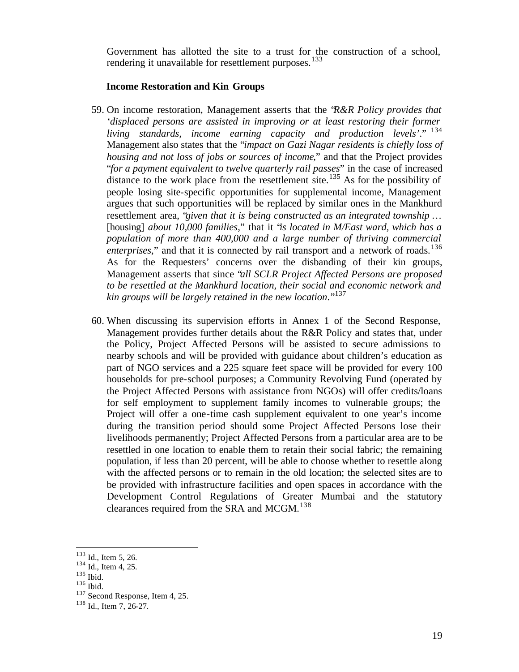Government has allotted the site to a trust for the construction of a school, rendering it unavailable for resettlement purposes.<sup>133</sup>

#### **Income Restoration and Kin Groups**

- 59. On income restoration, Management asserts that the "*R&R Policy provides that 'displaced persons are assisted in improving or at least restoring their former living standards, income earning capacity and production levels'*." <sup>134</sup> Management also states that the "*impact on Gazi Nagar residents is chiefly loss of housing and not loss of jobs or sources of income*," and that the Project provides "*for a payment equivalent to twelve quarterly rail passes*" in the case of increased  $\frac{1}{4}$  distance to the work place from the resettlement site.<sup>135</sup> As for the possibility of people losing site-specific opportunities for supplemental income, Management argues that such opportunities will be replaced by similar ones in the Mankhurd resettlement area, "*given that it is being constructed as an integrated township …*  [housing] *about 10,000 families*," that it "*is located in M/East ward, which has a population of more than 400,000 and a large number of thriving commercial enterprises*," and that it is connected by rail transport and a network of roads.<sup>136</sup> As for the Requesters' concerns over the disbanding of their kin groups, Management asserts that since "*all SCLR Project Affected Persons are proposed to be resettled at the Mankhurd location, their social and economic network and kin groups will be largely retained in the new location*."<sup>137</sup>
- 60. When discussing its supervision efforts in Annex 1 of the Second Response, Management provides further details about the R&R Policy and states that, under the Policy, Project Affected Persons will be assisted to secure admissions to nearby schools and will be provided with guidance about children's education as part of NGO services and a 225 square feet space will be provided for every 100 households for pre-school purposes; a Community Revolving Fund (operated by the Project Affected Persons with assistance from NGOs) will offer credits/loans for self employment to supplement family incomes to vulnerable groups; the Project will offer a one-time cash supplement equivalent to one year's income during the transition period should some Project Affected Persons lose their livelihoods permanently; Project Affected Persons from a particular area are to be resettled in one location to enable them to retain their social fabric; the remaining population, if less than 20 percent, will be able to choose whether to resettle along with the affected persons or to remain in the old location; the selected sites are to be provided with infrastructure facilities and open spaces in accordance with the Development Control Regulations of Greater Mumbai and the statutory clearances required from the SRA and MCGM.<sup>138</sup>

 $133$  Id., Item 5, 26.

<sup>&</sup>lt;sup>134</sup> Id., Item 4, 25.

<sup>135</sup> Ibid.

<sup>136</sup> Ibid.

<sup>137</sup> Second Response, Item 4, 25.

<sup>138</sup> Id., Item 7, 26-27.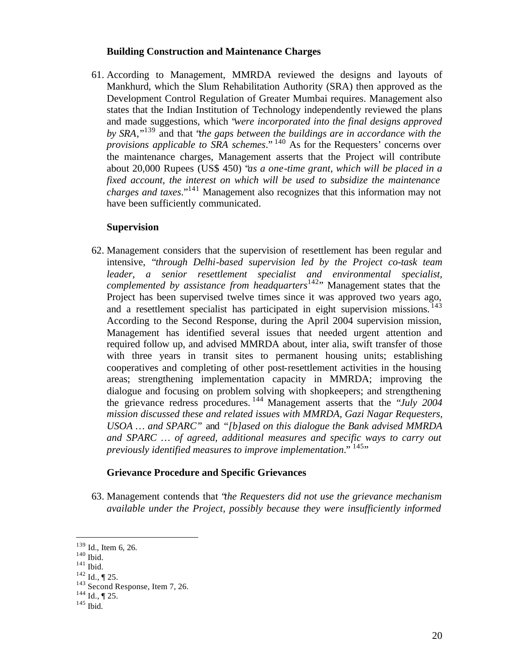#### **Building Construction and Maintenance Charges**

61. According to Management, MMRDA reviewed the designs and layouts of Mankhurd, which the Slum Rehabilitation Authority (SRA) then approved as the Development Control Regulation of Greater Mumbai requires. Management also states that the Indian Institution of Technology independently reviewed the plans and made suggestions, which "*were incorporated into the final designs approved by SRA*,"<sup>139</sup> and that "*the gaps between the buildings are in accordance with the provisions applicable to SRA schemes*." <sup>140</sup> As for the Requesters' concerns over the maintenance charges, Management asserts that the Project will contribute about 20,000 Rupees (US\$ 450) "*as a one-time grant, which will be placed in a fixed account, the interest on which will be used to subsidize the maintenance charges and taxes*."<sup>141</sup> Management also recognizes that this information may not have been sufficiently communicated.

#### **Supervision**

62. Management considers that the supervision of resettlement has been regular and intensive, "*through Delhi-based supervision led by the Project co-task team leader, a senior resettlement specialist and environmental specialist, complemented by assistance from headquarters*<sup>142</sup>" Management states that the Project has been supervised twelve times since it was approved two years ago, and a resettlement specialist has participated in eight supervision missions.<sup>143</sup> According to the Second Response, during the April 2004 supervision mission, Management has identified several issues that needed urgent attention and required follow up, and advised MMRDA about, inter alia, swift transfer of those with three years in transit sites to permanent housing units; establishing cooperatives and completing of other post-resettlement activities in the housing areas; strengthening implementation capacity in MMRDA; improving the dialogue and focusing on problem solving with shopkeepers; and strengthening the grievance redress procedures. <sup>144</sup> Management asserts that the "*July 2004 mission discussed these and related issues with MMRDA, Gazi Nagar Requesters, USOA … and SPARC"* and *"[b]ased on this dialogue the Bank advised MMRDA and SPARC … of agreed, additional measures and specific ways to carry out previously identified measures to improve implementation.*" <sup>145</sup>"

## **Grievance Procedure and Specific Grievances**

63. Management contends that "*the Requesters did not use the grievance mechanism available under the Project, possibly because they were insufficiently informed* 

<sup>&</sup>lt;sup>139</sup> Id., Item 6, 26.

<sup>140</sup> Ibid.

<sup>141</sup> Ibid.

 $142$  Id., ¶ 25.

<sup>&</sup>lt;sup>143</sup> Second Response, Item 7, 26.

 $144$  Id., ¶ 25.

<sup>145</sup> Ibid.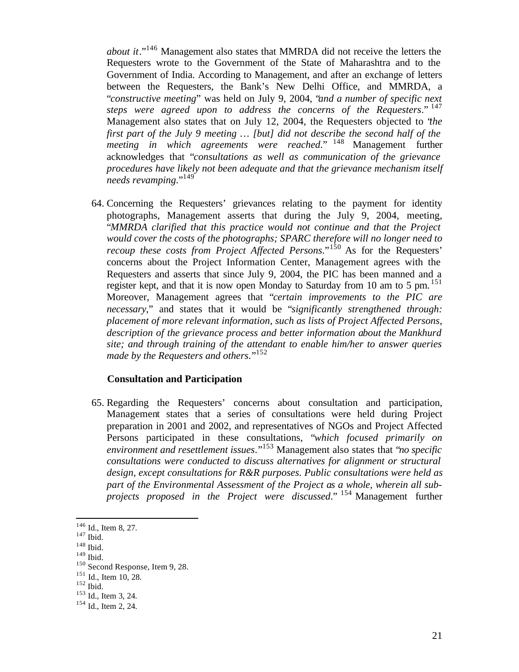*about it*."<sup>146</sup> Management also states that MMRDA did not receive the letters the Requesters wrote to the Government of the State of Maharashtra and to the Government of India. According to Management, and after an exchange of letters between the Requesters, the Bank's New Delhi Office, and MMRDA, a "*constructive meeting*" was held on July 9, 2004, "*and a number of specific next steps were agreed upon to address the concerns of the Requesters*." <sup>147</sup> Management also states that on July 12, 2004, the Requesters objected to "*the first part of the July 9 meeting … [but] did not describe the second half of the meeting in which agreements were reached.*" <sup>148</sup> Management further acknowledges that "*consultations as well as communication of the grievance procedures have likely not been adequate and that the grievance mechanism itself needs revamping*."<sup>149</sup>

64. Concerning the Requesters' grievances relating to the payment for identity photographs, Management asserts that during the July 9, 2004, meeting, "*MMRDA clarified that this practice would not continue and that the Project would cover the costs of the photographs; SPARC therefore will no longer need to recoup these costs from Project Affected Persons.*"<sup>150</sup> As for the Requesters' concerns about the Project Information Center, Management agrees with the Requesters and asserts that since July 9, 2004, the PIC has been manned and a register kept, and that it is now open Monday to Saturday from 10 am to 5 pm.<sup>151</sup> Moreover, Management agrees that "*certain improvements to the PIC are necessary*," and states that it would be "*significantly strengthened through: placement of more relevant information, such as lists of Project Affected Persons, description of the grievance process and better information about the Mankhurd site; and through training of the attendant to enable him/her to answer queries made by the Requesters and others*."<sup>152</sup>

## **Consultation and Participation**

65. Regarding the Requesters' concerns about consultation and participation, Management states that a series of consultations were held during Project preparation in 2001 and 2002, and representatives of NGOs and Project Affected Persons participated in these consultations, "*which focused primarily on environment and resettlement issues*."<sup>153</sup> Management also states that "*no specific consultations were conducted to discuss alternatives for alignment or structural design, except consultations for R&R purposes. Public consultations were held as part of the Environmental Assessment of the Project as a whole, wherein all subprojects proposed in the Project were discussed*." <sup>154</sup> Management further

 $\overline{a}$ 

<sup>149</sup> Ibid.

 $146$  Id., Item 8, 27.

<sup>147</sup> Ibid.

<sup>148</sup> Ibid.

<sup>150</sup> Second Response, Item 9, 28.

<sup>151</sup> Id., Item 10, 28.

<sup>152</sup> Ibid.

<sup>153</sup> Id., Item 3, 24.

<sup>&</sup>lt;sup>154</sup> Id., Item 2, 24.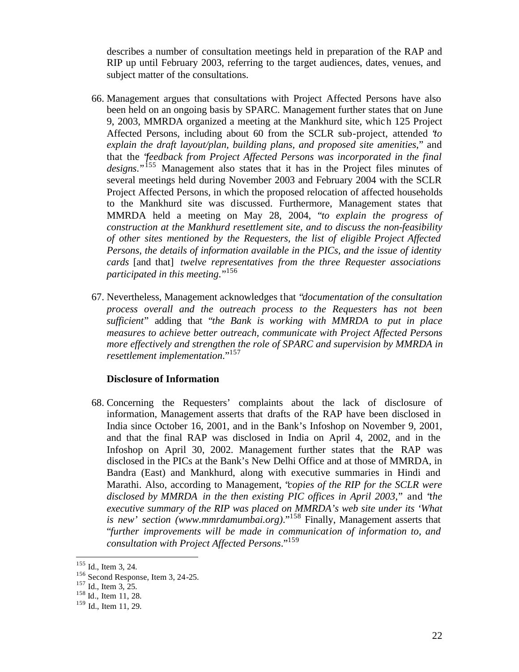describes a number of consultation meetings held in preparation of the RAP and RIP up until February 2003, referring to the target audiences, dates, venues, and subject matter of the consultations.

- 66. Management argues that consultations with Project Affected Persons have also been held on an ongoing basis by SPARC. Management further states that on June 9, 2003, MMRDA organized a meeting at the Mankhurd site, which 125 Project Affected Persons, including about 60 from the SCLR sub-project, attended "*to explain the draft layout/plan, building plans, and proposed site amenities*," and that the "*feedback from Project Affected Persons was incorporated in the final designs*."<sup>155</sup> Management also states that it has in the Project files minutes of several meetings held during November 2003 and February 2004 with the SCLR Project Affected Persons, in which the proposed relocation of affected households to the Mankhurd site was discussed. Furthermore, Management states that MMRDA held a meeting on May 28, 2004, "*to explain the progress of construction at the Mankhurd resettlement site, and to discuss the non-feasibility of other sites mentioned by the Requesters, the list of eligible Project Affected Persons, the details of information available in the PICs, and the issue of identity cards* [and that] *twelve representatives from the three Requester associations participated in this meeting*."<sup>156</sup>
- 67. Nevertheless, Management acknowledges that "*documentation of the consultation process overall and the outreach process to the Requesters has not been sufficient*" adding that "*the Bank is working with MMRDA to put in place measures to achieve better outreach, communicate with Project Affected Persons more effectively and strengthen the role of SPARC and supervision by MMRDA in resettlement implementation*."<sup>157</sup>

#### **Disclosure of Information**

68. Concerning the Requesters' complaints about the lack of disclosure of information, Management asserts that drafts of the RAP have been disclosed in India since October 16, 2001, and in the Bank's Infoshop on November 9, 2001, and that the final RAP was disclosed in India on April 4, 2002, and in the Infoshop on April 30, 2002. Management further states that the RAP was disclosed in the PICs at the Bank's New Delhi Office and at those of MMRDA, in Bandra (East) and Mankhurd, along with executive summaries in Hindi and Marathi. Also, according to Management, "*copies of the RIP for the SCLR were disclosed by MMRDA in the then existing PIC offices in April 2003*," and "*the executive summary of the RIP was placed on MMRDA's web site under its 'What is new' section (www.mmrdamumbai.org)*."<sup>158</sup> Finally, Management asserts that "*further improvements will be made in communication of information to, and consultation with Project Affected Persons*."<sup>159</sup>

<sup>&</sup>lt;sup>155</sup> Id., Item 3, 24.

<sup>156</sup> Second Response, Item 3, 24-25.

 $157$  Id., Item 3, 25.

<sup>158</sup> Id., Item 11, 28.

<sup>&</sup>lt;sup>159</sup> Id., Item 11, 29.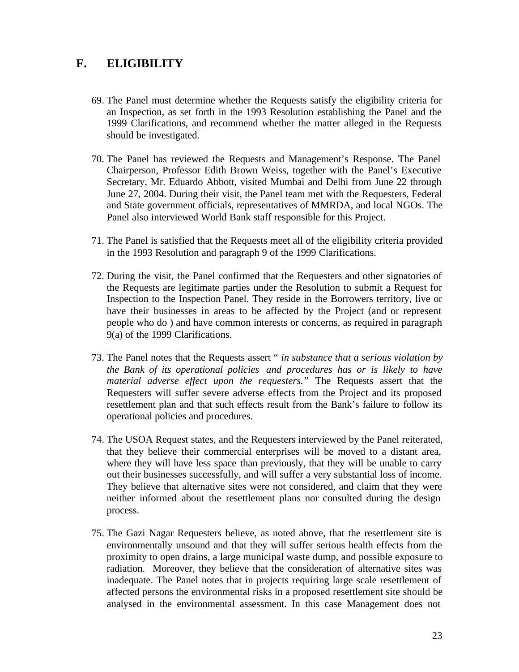# **F. ELIGIBILITY**

- 69. The Panel must determine whether the Requests satisfy the eligibility criteria for an Inspection, as set forth in the 1993 Resolution establishing the Panel and the 1999 Clarifications, and recommend whether the matter alleged in the Requests should be investigated.
- 70. The Panel has reviewed the Requests and Management's Response. The Panel Chairperson, Professor Edith Brown Weiss, together with the Panel's Executive Secretary, Mr. Eduardo Abbott, visited Mumbai and Delhi from June 22 through June 27, 2004. During their visit, the Panel team met with the Requesters, Federal and State government officials, representatives of MMRDA, and local NGOs. The Panel also interviewed World Bank staff responsible for this Project.
- 71. The Panel is satisfied that the Requests meet all of the eligibility criteria provided in the 1993 Resolution and paragraph 9 of the 1999 Clarifications.
- 72. During the visit, the Panel confirmed that the Requesters and other signatories of the Requests are legitimate parties under the Resolution to submit a Request for Inspection to the Inspection Panel. They reside in the Borrowers territory, live or have their businesses in areas to be affected by the Project (and or represent people who do ) and have common interests or concerns, as required in paragraph 9(a) of the 1999 Clarifications.
- 73. The Panel notes that the Requests assert *" in substance that a serious violation by the Bank of its operational policies and procedures has or is likely to have material adverse effect upon the requesters."* The Requests assert that the Requesters will suffer severe adverse effects from the Project and its proposed resettlement plan and that such effects result from the Bank's failure to follow its operational policies and procedures.
- 74. The USOA Request states, and the Requesters interviewed by the Panel reiterated, that they believe their commercial enterprises will be moved to a distant area, where they will have less space than previously, that they will be unable to carry out their businesses successfully, and will suffer a very substantial loss of income. They believe that alternative sites were not considered, and claim that they were neither informed about the resettlement plans nor consulted during the design process.
- 75. The Gazi Nagar Requesters believe, as noted above, that the resettlement site is environmentally unsound and that they will suffer serious health effects from the proximity to open drains, a large municipal waste dump, and possible exposure to radiation. Moreover, they believe that the consideration of alternative sites was inadequate. The Panel notes that in projects requiring large scale resettlement of affected persons the environmental risks in a proposed resettlement site should be analysed in the environmental assessment. In this case Management does not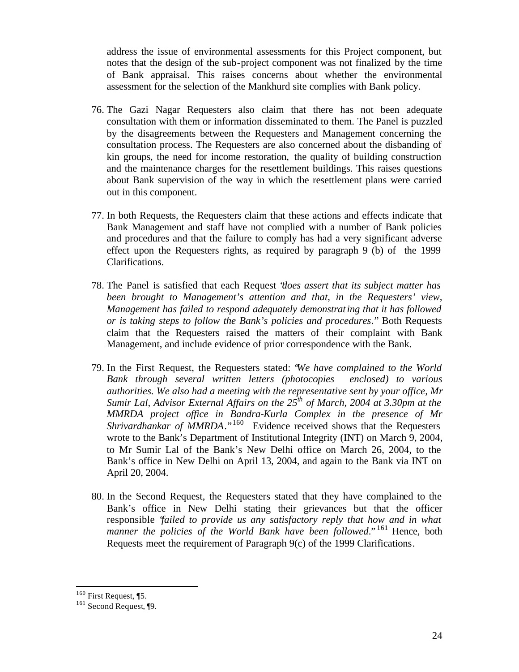address the issue of environmental assessments for this Project component, but notes that the design of the sub-project component was not finalized by the time of Bank appraisal. This raises concerns about whether the environmental assessment for the selection of the Mankhurd site complies with Bank policy.

- 76. The Gazi Nagar Requesters also claim that there has not been adequate consultation with them or information disseminated to them. The Panel is puzzled by the disagreements between the Requesters and Management concerning the consultation process. The Requesters are also concerned about the disbanding of kin groups, the need for income restoration, the quality of building construction and the maintenance charges for the resettlement buildings. This raises questions about Bank supervision of the way in which the resettlement plans were carried out in this component.
- 77. In both Requests, the Requesters claim that these actions and effects indicate that Bank Management and staff have not complied with a number of Bank policies and procedures and that the failure to comply has had a very significant adverse effect upon the Requesters rights, as required by paragraph 9 (b) of the 1999 Clarifications.
- 78. The Panel is satisfied that each Request "*does assert that its subject matter has been brought to Management's attention and that, in the Requesters' view, Management has failed to respond adequately demonstrating that it has followed or is taking steps to follow the Bank's policies and procedures*." Both Requests claim that the Requesters raised the matters of their complaint with Bank Management, and include evidence of prior correspondence with the Bank.
- 79. In the First Request, the Requesters stated: "*We have complained to the World Bank through several written letters (photocopies enclosed) to various authorities. We also had a meeting with the representative sent by your office, Mr Sumir Lal, Advisor External Affairs on the 25th of March, 2004 at 3.30pm at the MMRDA project office in Bandra-Kurla Complex in the presence of Mr Shrivardhankar of MMRDA*."<sup>160</sup> Evidence received shows that the Requesters wrote to the Bank's Department of Institutional Integrity (INT) on March 9, 2004, to Mr Sumir Lal of the Bank's New Delhi office on March 26, 2004, to the Bank's office in New Delhi on April 13, 2004, and again to the Bank via INT on April 20, 2004.
- 80. In the Second Request, the Requesters stated that they have complained to the Bank's office in New Delhi stating their grievances but that the officer responsible "*failed to provide us any satisfactory reply that how and in what manner the policies of the World Bank have been followed*." <sup>161</sup> Hence, both Requests meet the requirement of Paragraph 9(c) of the 1999 Clarifications.

 $160$  First Request, [5.

<sup>161</sup> Second Request, ¶9.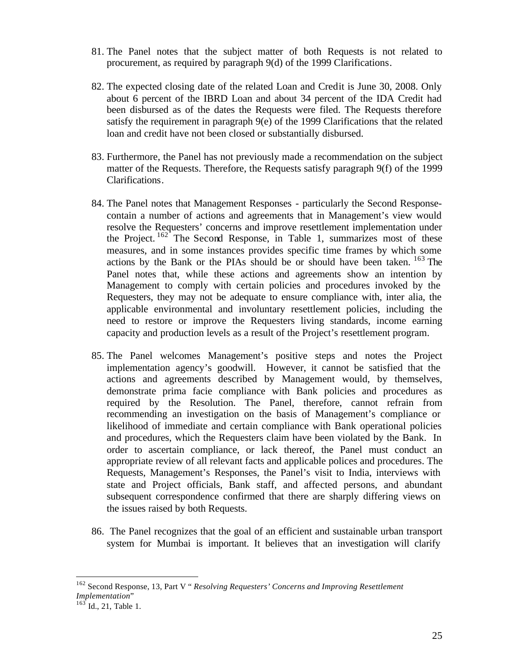- 81. The Panel notes that the subject matter of both Requests is not related to procurement, as required by paragraph 9(d) of the 1999 Clarifications.
- 82. The expected closing date of the related Loan and Credit is June 30, 2008. Only about 6 percent of the IBRD Loan and about 34 percent of the IDA Credit had been disbursed as of the dates the Requests were filed. The Requests therefore satisfy the requirement in paragraph 9(e) of the 1999 Clarifications that the related loan and credit have not been closed or substantially disbursed.
- 83. Furthermore, the Panel has not previously made a recommendation on the subject matter of the Requests. Therefore, the Requests satisfy paragraph 9(f) of the 1999 Clarifications.
- 84. The Panel notes that Management Responses particularly the Second Responsecontain a number of actions and agreements that in Management's view would resolve the Requesters' concerns and improve resettlement implementation under the Project.  $162$  The Second Response, in Table 1, summarizes most of these measures, and in some instances provides specific time frames by which some actions by the Bank or the PIAs should be or should have been taken. <sup>163</sup> The Panel notes that, while these actions and agreements show an intention by Management to comply with certain policies and procedures invoked by the Requesters, they may not be adequate to ensure compliance with, inter alia, the applicable environmental and involuntary resettlement policies, including the need to restore or improve the Requesters living standards, income earning capacity and production levels as a result of the Project's resettlement program.
- 85. The Panel welcomes Management's positive steps and notes the Project implementation agency's goodwill. However, it cannot be satisfied that the actions and agreements described by Management would, by themselves, demonstrate prima facie compliance with Bank policies and procedures as required by the Resolution. The Panel, therefore, cannot refrain from recommending an investigation on the basis of Management's compliance or likelihood of immediate and certain compliance with Bank operational policies and procedures, which the Requesters claim have been violated by the Bank. In order to ascertain compliance, or lack thereof, the Panel must conduct an appropriate review of all relevant facts and applicable polices and procedures. The Requests, Management's Responses, the Panel's visit to India, interviews with state and Project officials, Bank staff, and affected persons, and abundant subsequent correspondence confirmed that there are sharply differing views on the issues raised by both Requests.
- 86. The Panel recognizes that the goal of an efficient and sustainable urban transport system for Mumbai is important. It believes that an investigation will clarify

<sup>162</sup> Second Response, 13, Part V " *Resolving Requesters' Concerns and Improving Resettlement Implementation*"

 $^{163}$  Id., 21, Table 1.